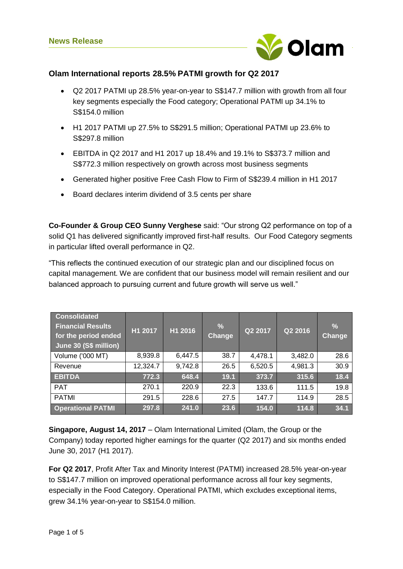

# **Olam International reports 28.5% PATMI growth for Q2 2017**

- Q2 2017 PATMI up 28.5% year-on-year to S\$147.7 million with growth from all four key segments especially the Food category; Operational PATMI up 34.1% to S\$154.0 million
- H1 2017 PATMI up 27.5% to S\$291.5 million; Operational PATMI up 23.6% to S\$297.8 million
- EBITDA in Q2 2017 and H1 2017 up 18.4% and 19.1% to S\$373.7 million and S\$772.3 million respectively on growth across most business segments
- Generated higher positive Free Cash Flow to Firm of S\$239.4 million in H1 2017
- Board declares interim dividend of 3.5 cents per share

**Co-Founder & Group CEO Sunny Verghese** said: "Our strong Q2 performance on top of a solid Q1 has delivered significantly improved first-half results. Our Food Category segments in particular lifted overall performance in Q2.

"This reflects the continued execution of our strategic plan and our disciplined focus on capital management. We are confident that our business model will remain resilient and our balanced approach to pursuing current and future growth will serve us well."

| <b>Consolidated</b><br><b>Financial Results</b><br>for the period ended<br>June 30 (S\$ million) | H1 2017  | H1 2016 | $\%$<br>Change | Q2 2017 | Q2 2016 | $\frac{9}{6}$<br>Change |
|--------------------------------------------------------------------------------------------------|----------|---------|----------------|---------|---------|-------------------------|
| Volume ('000 MT)                                                                                 | 8,939.8  | 6,447.5 | 38.7           | 4,478.1 | 3,482.0 | 28.6                    |
| Revenue                                                                                          | 12,324.7 | 9,742.8 | 26.5           | 6,520.5 | 4,981.3 | 30.9                    |
| <b>EBITDA</b>                                                                                    | 772.3    | 648.4   | 19.1           | 373.7   | 315.6   | 18.4                    |
| <b>PAT</b>                                                                                       | 270.1    | 220.9   | 22.3           | 133.6   | 111.5   | 19.8                    |
| <b>PATMI</b>                                                                                     | 291.5    | 228.6   | 27.5           | 147.7   | 114.9   | 28.5                    |
| <b>Operational PATMI</b>                                                                         | 297.8    | 241.0   | 23.6           | 154.0   | 114.8   | 34.1                    |

**Singapore, August 14, 2017** – Olam International Limited (Olam, the Group or the Company) today reported higher earnings for the quarter (Q2 2017) and six months ended June 30, 2017 (H1 2017).

**For Q2 2017**, Profit After Tax and Minority Interest (PATMI) increased 28.5% year-on-year to S\$147.7 million on improved operational performance across all four key segments, especially in the Food Category. Operational PATMI, which excludes exceptional items, grew 34.1% year-on-year to S\$154.0 million.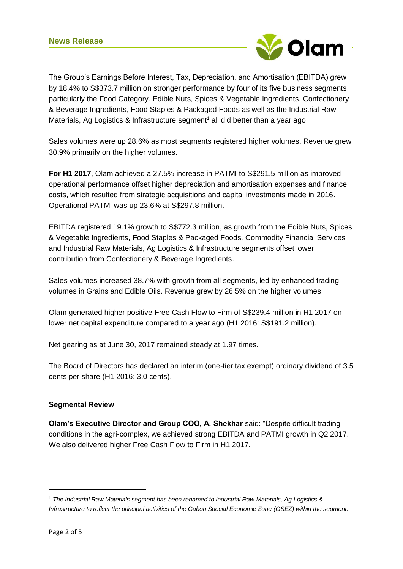

The Group's Earnings Before Interest, Tax, Depreciation, and Amortisation (EBITDA) grew by 18.4% to S\$373.7 million on stronger performance by four of its five business segments, particularly the Food Category. Edible Nuts, Spices & Vegetable Ingredients, Confectionery & Beverage Ingredients, Food Staples & Packaged Foods as well as the Industrial Raw Materials, Ag Logistics & Infrastructure segment<sup>1</sup> all did better than a year ago.

Sales volumes were up 28.6% as most segments registered higher volumes. Revenue grew 30.9% primarily on the higher volumes.

**For H1 2017**, Olam achieved a 27.5% increase in PATMI to S\$291.5 million as improved operational performance offset higher depreciation and amortisation expenses and finance costs, which resulted from strategic acquisitions and capital investments made in 2016. Operational PATMI was up 23.6% at S\$297.8 million.

EBITDA registered 19.1% growth to S\$772.3 million, as growth from the Edible Nuts, Spices & Vegetable Ingredients, Food Staples & Packaged Foods, Commodity Financial Services and Industrial Raw Materials, Ag Logistics & Infrastructure segments offset lower contribution from Confectionery & Beverage Ingredients.

Sales volumes increased 38.7% with growth from all segments, led by enhanced trading volumes in Grains and Edible Oils. Revenue grew by 26.5% on the higher volumes.

Olam generated higher positive Free Cash Flow to Firm of S\$239.4 million in H1 2017 on lower net capital expenditure compared to a year ago (H1 2016: S\$191.2 million).

Net gearing as at June 30, 2017 remained steady at 1.97 times.

The Board of Directors has declared an interim (one-tier tax exempt) ordinary dividend of 3.5 cents per share (H1 2016: 3.0 cents).

# **Segmental Review**

**Olam's Executive Director and Group COO, A. Shekhar** said: "Despite difficult trading conditions in the agri-complex, we achieved strong EBITDA and PATMI growth in Q2 2017. We also delivered higher Free Cash Flow to Firm in H1 2017.

1

<sup>1</sup> *The Industrial Raw Materials segment has been renamed to Industrial Raw Materials, Ag Logistics & Infrastructure to reflect the principal activities of the Gabon Special Economic Zone (GSEZ) within the segment.*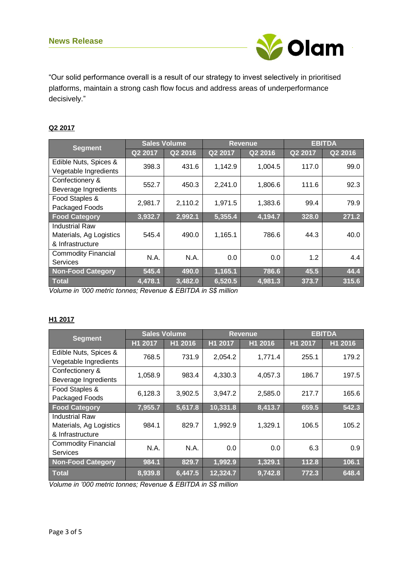

"Our solid performance overall is a result of our strategy to invest selectively in prioritised platforms, maintain a strong cash flow focus and address areas of underperformance decisively."

## **Q2 2017**

| <b>Segment</b>             | <b>Sales Volume</b> |         | <b>Revenue</b> |         | <b>EBITDA</b> |         |
|----------------------------|---------------------|---------|----------------|---------|---------------|---------|
|                            | Q2 2017             | Q2 2016 | Q2 2017        | Q2 2016 | Q2 2017       | Q2 2016 |
| Edible Nuts, Spices &      | 398.3               | 431.6   | 1,142.9        | 1,004.5 | 117.0         | 99.0    |
| Vegetable Ingredients      |                     |         |                |         |               |         |
| Confectionery &            | 552.7               | 450.3   | 2,241.0        | 1,806.6 | 111.6         | 92.3    |
| Beverage Ingredients       |                     |         |                |         |               |         |
| Food Staples &             | 2,981.7             | 2,110.2 | 1,971.5        | 1,383.6 | 99.4          | 79.9    |
| Packaged Foods             |                     |         |                |         |               |         |
| <b>Food Category</b>       | 3,932.7             | 2,992.1 | 5,355.4        | 4,194.7 | 328.0         | 271.2   |
| <b>Industrial Raw</b>      |                     |         |                |         |               |         |
| Materials, Ag Logistics    | 545.4               | 490.0   | 1,165.1        | 786.6   | 44.3          | 40.0    |
| & Infrastructure           |                     |         |                |         |               |         |
| <b>Commodity Financial</b> | N.A.                | N.A.    | 0.0            | 0.0     | 1.2           | 4.4     |
| Services                   |                     |         |                |         |               |         |
| <b>Non-Food Category</b>   | 545.4               | 490.0   | 1,165.1        | 786.6   | 45.5          | 44.4    |
| <b>Total</b>               | 4,478.1             | 3,482.0 | 6,520.5        | 4,981.3 | 373.7         | 315.6   |

*Volume in '000 metric tonnes; Revenue & EBITDA in S\$ million*

### **H1 2017**

| <b>Segment</b>             | <b>Sales Volume</b> |         | <b>Revenue</b> |         | <b>EBITDA</b> |         |
|----------------------------|---------------------|---------|----------------|---------|---------------|---------|
|                            | H1 2017             | H1 2016 | H1 2017        | H1 2016 | H1 2017       | H1 2016 |
| Edible Nuts, Spices &      | 768.5               | 731.9   | 2,054.2        | 1,771.4 | 255.1         | 179.2   |
| Vegetable Ingredients      |                     |         |                |         |               |         |
| Confectionery &            | 1,058.9             | 983.4   | 4,330.3        | 4,057.3 | 186.7         | 197.5   |
| Beverage Ingredients       |                     |         |                |         |               |         |
| Food Staples &             | 6,128.3             | 3,902.5 | 3,947.2        | 2,585.0 | 217.7         | 165.6   |
| Packaged Foods             |                     |         |                |         |               |         |
| <b>Food Category</b>       | 7,955.7             | 5,617.8 | 10,331.8       | 8,413.7 | 659.5         | 542.3   |
| <b>Industrial Raw</b>      |                     |         |                |         |               |         |
| Materials, Ag Logistics    | 984.1               | 829.7   | 1,992.9        | 1,329.1 | 106.5         | 105.2   |
| & Infrastructure           |                     |         |                |         |               |         |
| <b>Commodity Financial</b> | N.A.                | N.A.    | 0.0            | 0.0     | 6.3           | 0.9     |
| Services                   |                     |         |                |         |               |         |
| <b>Non-Food Category</b>   | 984.1               | 829.7   | 1,992.9        | 1,329.1 | 112.8         | 106.1   |
| Total                      | 8,939.8             | 6,447.5 | 12,324.7       | 9,742.8 | 772.3         | 648.4   |

*Volume in '000 metric tonnes; Revenue & EBITDA in S\$ million*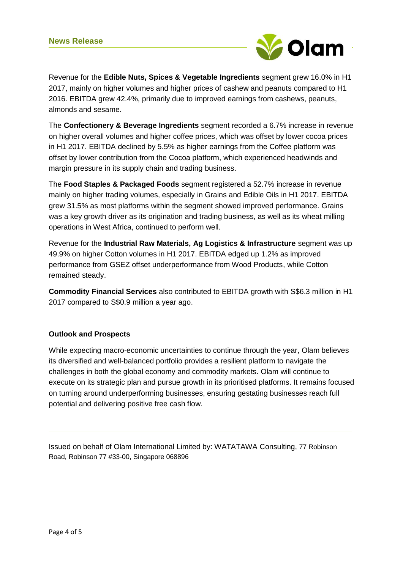

Revenue for the **Edible Nuts, Spices & Vegetable Ingredients** segment grew 16.0% in H1 2017, mainly on higher volumes and higher prices of cashew and peanuts compared to H1 2016. EBITDA grew 42.4%, primarily due to improved earnings from cashews, peanuts, almonds and sesame.

The **Confectionery & Beverage Ingredients** segment recorded a 6.7% increase in revenue on higher overall volumes and higher coffee prices, which was offset by lower cocoa prices in H1 2017. EBITDA declined by 5.5% as higher earnings from the Coffee platform was offset by lower contribution from the Cocoa platform, which experienced headwinds and margin pressure in its supply chain and trading business.

The **Food Staples & Packaged Foods** segment registered a 52.7% increase in revenue mainly on higher trading volumes, especially in Grains and Edible Oils in H1 2017. EBITDA grew 31.5% as most platforms within the segment showed improved performance. Grains was a key growth driver as its origination and trading business, as well as its wheat milling operations in West Africa, continued to perform well.

Revenue for the **Industrial Raw Materials, Ag Logistics & Infrastructure** segment was up 49.9% on higher Cotton volumes in H1 2017. EBITDA edged up 1.2% as improved performance from GSEZ offset underperformance from Wood Products, while Cotton remained steady.

**Commodity Financial Services** also contributed to EBITDA growth with S\$6.3 million in H1 2017 compared to S\$0.9 million a year ago.

# **Outlook and Prospects**

While expecting macro-economic uncertainties to continue through the year, Olam believes its diversified and well-balanced portfolio provides a resilient platform to navigate the challenges in both the global economy and commodity markets. Olam will continue to execute on its strategic plan and pursue growth in its prioritised platforms. It remains focused on turning around underperforming businesses, ensuring gestating businesses reach full potential and delivering positive free cash flow.

Issued on behalf of Olam International Limited by: WATATAWA Consulting, 77 Robinson Road, Robinson 77 #33-00, Singapore 068896